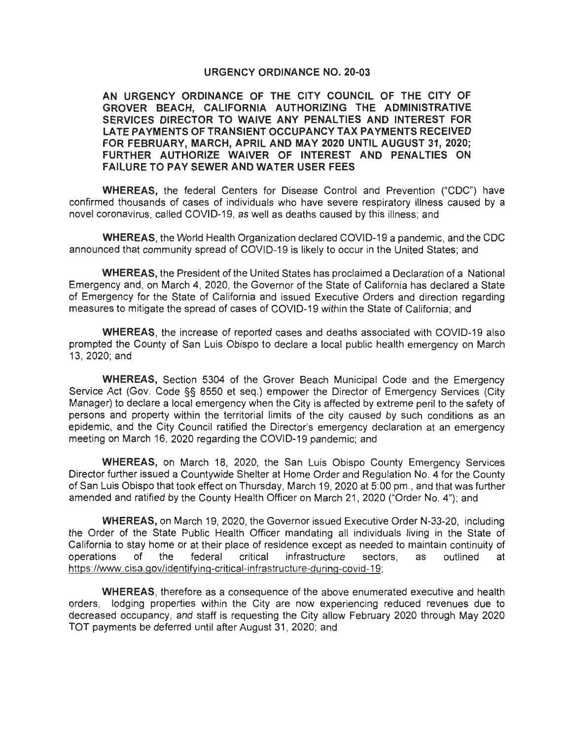## **URGENCY ORDINANCE NO. 20-03**

**AN URGENCY ORDINANCE OF THE CITY COUNCIL OF THE CITY OF GROVER BEACH, CALIFORNIA AUTHORIZING THE ADMINISTRATIVE SERVICES DIRECTOR TO WAIVE ANY PENALTIES AND INTEREST FOR LATE PAYMENTS OF TRANSIENT OCCUPANCY TAX PAYMENTS RECEIVED FOR FEBRUARY, MARCH, APRIL AND MAY 2020 UNTIL AUGUST 31, 2020;**  FURTHER AUTHORIZE WAIVER OF INTEREST AND PENALTIES ON **FAILURE TO PAY SEWER AND WATER USER FEES** 

**WHEREAS,** the federal Centers for Disease Control and Prevention ("CDC") have confirmed thousands of cases of individuals who have severe respiratory illness caused by a novel coronavirus , called COVID-19, as well as deaths caused by this illness; and

**WHEREAS,** the World Health Organization declared COVID-19 a pandemic, and the CDC announced that community spread of COVID-19 is likely to occur in the United States; and

**WHEREAS,** the President of the United States has proclaimed a Declaration of a National Emergency and , on March 4, 2020, the Governor of the State of California has declared a State of Emergency for the State of California and issued Executive Orders and direction regarding measures to mitigate the spread of cases of COVID-19 within the State of California; and

**WHEREAS,** the increase of reported cases and deaths associated with COVID-19 also prompted the County of San Luis Obispo to declare a local public health emergency on March 13, 2020; and

**WHEREAS,** Section 5304 of the Grover Beach Municipal Code and the Emergency Service Act (Gov. Code §§ 8550 et seq.) empower the Director of Emergency Services (City Manager) to declare a local emergency when the City is affected by extreme peril to the safety of persons and property within the territorial limits of the city caused by such conditions as an epidemic, and the City Council ratified the Director's emergency declaration at an emergency meeting on March 16, 2020 regarding the COVID-19 pandemic; and

**WHEREAS,** on March 18, 2020, the San Luis Obispo County Emergency Services Director further issued a Countywide Shelter at Home Order and Regulation No. 4 for the County of San Luis Obispo that took effect on Thursday, March 19, 2020 at 5:00 pm ., and that was further amended and ratified by the County Health Officer on March 21 , 2020 ("Order No. 4"); and

**WHEREAS,** on March 19, 2020, the Governor issued Executive Order N-33-20, including the Order of the State Public Health Officer mandating all individuals living in the State of California to stay home or at their place of residence except as needed to maintain continuity of operations of the federal critical infrastructure sectors, as outlined at https://www.cisa.gov/identifying-critical-infrastructure-during-covid-19;

**WHEREAS,** therefore as a consequence of the above enumerated executive and health orders, lodging properties within the City are now experiencing reduced revenues due to decreased occupancy, and staff is requesting the City allow February 2020 through May 2020 TOT payments be deferred until after August 31, 2020; and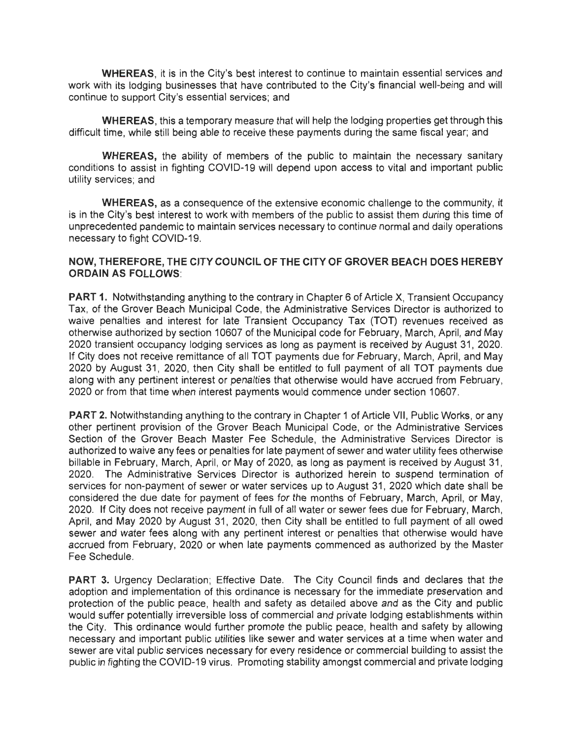**WHEREAS,** it is in the City's best interest to continue to maintain essential services and work with its lodging businesses that have contributed to the City's financial well-being and will continue to support City's essential services; and

**WHEREAS,** this a temporary measure that will help the lodging properties get through this difficult time, while still being able to receive these payments during the same fiscal year; and

**WHEREAS,** the ability of members of the public to maintain the necessary sanitary conditions to assist in fighting COVID-19 will depend upon access to vital and important public utility services; and

**WHEREAS,** as a consequence of the extensive economic challenge to the community, it is in the City's best interest to work with members of the public to assist them during this time of unprecedented pandemic to maintain services necessary to continue normal and daily operations necessary to fight COVID-19.

## **NOW, THEREFORE, THE CITY COUNCIL OF THE CITY OF GROVER BEACH DOES HEREBY ORDAIN AS FOLLOWS:**

**PART 1.** Notwithstanding anything to the contrary in Chapter 6 of Article X, Transient Occupancy Tax, of the Grover Beach Municipal Code, the Administrative Services Director is authorized to waive penalties and interest for late Transient Occupancy Tax (TOT) revenues received as otherwise authorized by section 10607 of the Municipal code for February, March, April, and May 2020 transient occupancy lodging services as long as payment is received by August 31, 2020. If City does not receive remittance of all TOT payments due for February, March, April, and May 2020 by August 31, 2020, then City shall be entitled to full payment of all TOT payments due along with any pertinent interest or penalties that otherwise would have accrued from February, 2020 or from that time when interest payments would commence under section 10607.

**PART 2.** Notwithstanding anything to the contrary in Chapter 1 of Article VII, Public Works, or any other pertinent provision of the Grover Beach Municipal Code, or the Administrative Services Section of the Grover Beach Master Fee Schedule, the Administrative Services Director is authorized to waive any fees or penalties for late payment of sewer and water utility fees otherwise billable in February, March, April, or May of 2020, as long as payment is received by August 31, 2020. The Administrative Services Director is authorized herein to suspend termination of services for non-payment of sewer or water services up to August 31, 2020 which date shall be considered the due date for payment of fees for the months of February, March, April, or May, 2020. If City does not receive payment in full of all water or sewer fees due for February, March, April, and May 2020 by August 31, 2020, then City shall be entitled to full payment of all owed sewer and water fees along with any pertinent interest or penalties that otherwise would have accrued from February, 2020 or when late payments commenced as authorized by the Master Fee Schedule.

**PART** 3. Urgency Declaration; Effective Date. The City Council finds and declares that the adoption and implementation of this ordinance is necessary for the immediate preservation and protection of the public peace, health and safety as detailed above and as the City and public would suffer potentially irreversible loss of commercial and private lodging establishments within the City. This ordinance would further promote the public peace, health and safety by allowing necessary and important public utilities like sewer and water services at a time when water and sewer are vital public services necessary for every residence or commercial building to assist the public in fighting the COVID-19 virus. Promoting stability amongst commercial and private lodging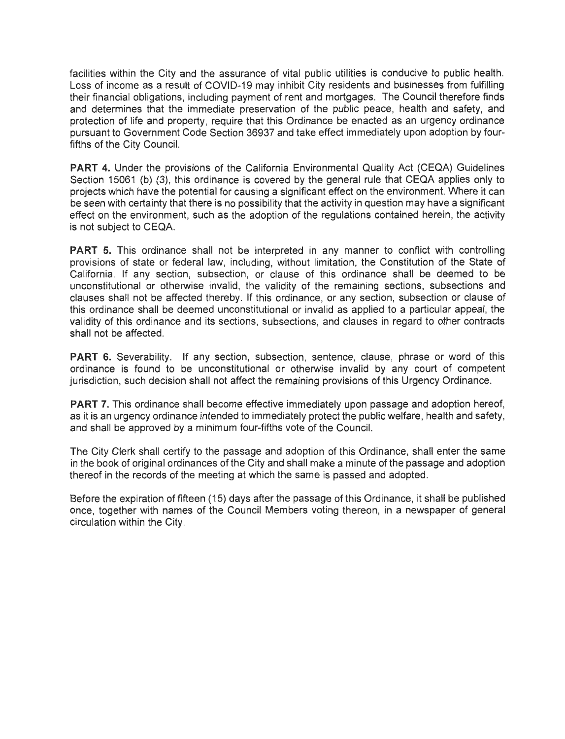facilities within the City and the assurance of vital public utilities is conducive to public health. Loss of income as a result of COVID-19 may inhibit City residents and businesses from fulfilling their financial obligations, including payment of rent and mortgages. The Council therefore finds and determines that the immediate preservation of the public peace, health and safety, and protection of life and property, require that this Ordinance be enacted as an urgency ordinance pursuant to Government Code Section 36937 and take effect immediately upon adoption by fourfifths of the City Council.

PART 4. Under the provisions of the California Environmental Quality Act (CEQA) Guidelines Section 15061 (b) (3), this ordinance is covered by the general rule that CEQA applies only to projects which have the potential for causing a significant effect on the environment. Where it can be seen with certainty that there is no possibility that the activity in question may have a significant effect on the environment, such as the adoption of the regulations contained herein, the activity is not subject to CEQA.

**PART 5.** This ordinance shall not be interpreted in any manner to conflict with controlling provisions of state or federal law, including, without limitation, the Constitution of the State of California. If any section, subsection, or clause of this ordinance shall be deemed to be unconstitutional or otherwise invalid, the validity of the remaining sections, subsections and clauses shall not be affected thereby. If this ordinance, or any section, subsection or clause of this ordinance shall be deemed unconstitutional or invalid as applied to a particular appeal, the validity of this ordinance and its sections, subsections, and clauses in regard to other contracts shall not be affected.

PART 6. Severability. If any section, subsection, sentence, clause, phrase or word of this ordinance is found to be unconstitutional or otherwise invalid by any court of competent jurisdiction, such decision shall not affect the remaining provisions of this Urgency Ordinance.

**PART** 7. This ordinance shall become effective immediately upon passage and adoption hereof, as it is an urgency ordinance intended to immediately protect the public welfare, health and safety, and shall be approved by a minimum four-fifths vote of the Council.

The City Clerk shall certify to the passage and adoption of this Ordinance, shall enter the same in the book of original ordinances of the City and shall make a minute of the passage and adoption thereof in the records of the meeting at which the same is passed and adopted.

Before the expiration of fifteen (15) days after the passage of this Ordinance, it shall be published once, together with names of the Council Members voting thereon, in a newspaper of general circulation within the City.